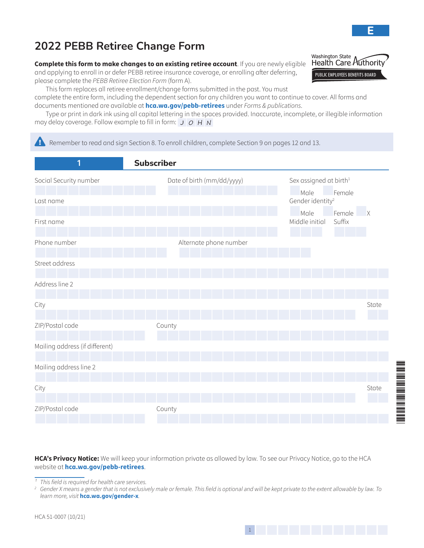**Complete this form to make changes to an existing retiree account**. If you are newly eligible and applying to enroll in or defer PEBB retiree insurance coverage, or enrolling after deferring, please complete the *PEBB Retiree Election Form* (form A).

This form replaces all retiree enrollment/change forms submitted in the past. You must

complete the entire form, including the dependent section for any children you want to continue to cover. All forms and documents mentioned are available at **[hca.wa.gov/pebb-retirees](http://hca.wa.gov/pebb-retirees)** under *Forms & publications*.

Type or print in dark ink using all capital lettering in the spaces provided. Inaccurate, incomplete, or illegible information may delay coverage. Follow example to fill in form:  $J$   $O$   $H$   $N$ 

**EX** Remember to read and sign Section 8. To enroll children, complete Section 9 on pages 12 and 13.

| 1                              | <b>Subscriber</b>          |                                                            |
|--------------------------------|----------------------------|------------------------------------------------------------|
| Social Security number         | Date of birth (mm/dd/yyyy) | Sex assigned at birth <sup>1</sup><br>Male<br>Female       |
| Last name                      |                            | Gender identity <sup>2</sup>                               |
| First name                     |                            | Male<br>Female<br>$\mathsf{X}$<br>Middle initial<br>Suffix |
| Phone number                   | Alternate phone number     |                                                            |
| Street address                 |                            |                                                            |
| Address line 2                 |                            |                                                            |
| City                           |                            | State                                                      |
| ZIP/Postal code                | County                     |                                                            |
| Mailing address (if different) |                            |                                                            |
| Mailing address line 2         |                            |                                                            |
| City                           |                            | State                                                      |
| ZIP/Postal code                | County                     |                                                            |
|                                |                            |                                                            |

**HCA's Privacy Notice:** We will keep your information private as allowed by law. To see our Privacy Notice, go to the HCA website at **[hca.wa.gov/pebb-retirees](http://hca.wa.gov/pebb-retirees)**.

*¹ This field is required for health care services.*

*2 Gender X means a gender that is not exclusively male or female. This field is optional and will be kept private to the extent allowable by law. To learn more, visit* **hca.wa.gov/gender-x***.*

**E**

\*51-0007\*

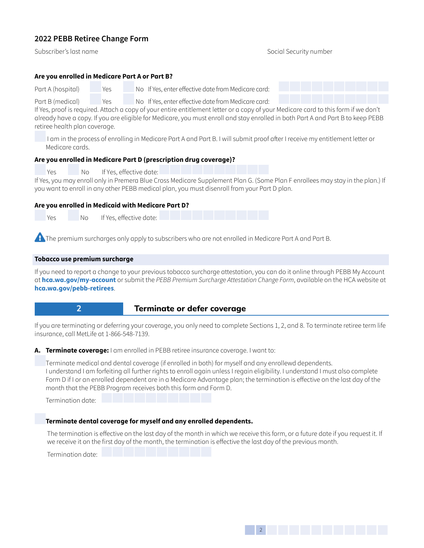Subscriber's last name Social Security number

### **Are you enrolled in Medicare Part A or Part B?**

Part A (hospital) Yes No If Yes, enter effective date from Medicare card:

Part B (medical) Yes No If Yes, enter effective date from Medicare card:

If Yes, proof is required. Attach a copy of your entire entitlement letter or a copy of your Medicare card to this form if we don't already have a copy. If you are eligible for Medicare, you must enroll and stay enrolled in both Part A and Part B to keep PEBB retiree health plan coverage.

 I am in the process of enrolling in Medicare Part A and Part B. I will submit proof after I receive my entitlement letter or Medicare cards.

### **Are you enrolled in Medicare Part D (prescription drug coverage)?**

Yes No If Yes, effective date:

If Yes, you may enroll only in Premera Blue Cross Medicare Supplement Plan G. (Some Plan F enrollees may stay in the plan.) If you want to enroll in any other PEBB medical plan, you must disenroll from your Part D plan.

### **Are you enrolled in Medicaid with Medicare Part D?**

Yes No If Yes, effective date:

**Example premium surcharges only apply to subscribers who are not enrolled in Medicare Part A and Part B.** 

### **Tobacco use premium surcharge**

If you need to report a change to your previous tobacco surcharge attestation, you can do it online through PEBB My Account at **[hca.wa.gov/my-account](http://hca.wa.gov/my-account)** or submit the *PEBB Premium Surcharge Attestation Change Form*, available on the HCA website at **[hca.wa.gov/pebb-retirees](http://hca.wa.gov/pebb-retirees)**.



# **2 Terminate or defer coverage**

If you are terminating or deferring your coverage, you only need to complete Sections 1, 2, and 8. To terminate retiree term life insurance, call MetLife at 1-866-548-7139.

**A. Terminate coverage:** I am enrolled in PEBB retiree insurance coverage. I want to:

Terminate medical and dental coverage (if enrolled in both) for myself and any enrollewd dependents. I understand I am forfeiting all further rights to enroll again unless I regain eligibility. I understand I must also complete Form D if I or an enrolled dependent are in a Medicare Advantage plan; the termination is effective on the last day of the month that the PEBB Program receives both this form and Form D.

Termination date:

### **Terminate dental coverage for myself and any enrolled dependents.**

The termination is effective on the last day of the month in which we receive this form, or a future date if you request it. If we receive it on the first day of the month, the termination is effective the last day of the previous month.

Termination date:

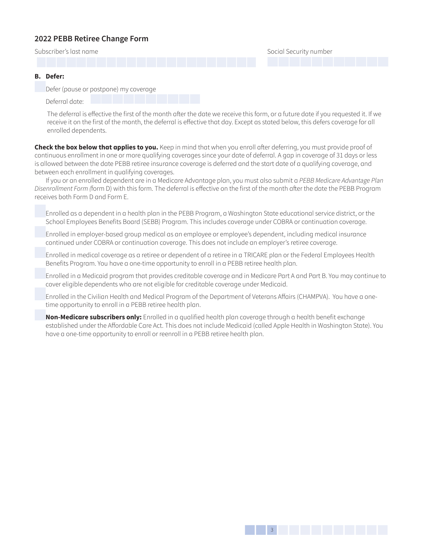Subscriber's last name Social Security number

### **B. Defer:**

Defer (pause or postpone) my coverage

Deferral date:

The deferral is effective the first of the month after the date we receive this form, or a future date if you requested it. If we receive it on the first of the month, the deferral is effective that day. Except as stated below, this defers coverage for all enrolled dependents.

**Check the box below that applies to you.** Keep in mind that when you enroll after deferring, you must provide proof of continuous enrollment in one or more qualifying coverages since your date of deferral. A gap in coverage of 31 days or less is allowed between the date PEBB retiree insurance coverage is deferred and the start date of a qualifying coverage, and between each enrollment in qualifying coverages.

If you or an enrolled dependent are in a Medicare Advantage plan, you must also submit a *PEBB Medicare Advantage Plan Disenrollment Form (*form D) with this form. The deferral is effective on the first of the month after the date the PEBB Program receives both Form D and Form E.

 Enrolled as a dependent in a health plan in the PEBB Program, a Washington State educational service district, or the School Employees Benefits Board (SEBB) Program. This includes coverage under COBRA or continuation coverage.

 Enrolled in employer-based group medical as an employee or employee's dependent, including medical insurance continued under COBRA or continuation coverage. This does not include an employer's retiree coverage.

 Enrolled in medical coverage as a retiree or dependent of a retiree in a TRICARE plan or the Federal Employees Health Benefits Program. You have a one-time opportunity to enroll in a PEBB retiree health plan.

 Enrolled in a Medicaid program that provides creditable coverage and in Medicare Part A and Part B. You may continue to cover eligible dependents who are not eligible for creditable coverage under Medicaid.

 Enrolled in the Civilian Health and Medical Program of the Department of Veterans Affairs (CHAMPVA). You have a onetime opportunity to enroll in a PEBB retiree health plan.

**Non-Medicare subscribers only:** Enrolled in a qualified health plan coverage through a health benefit exchange established under the Affordable Care Act. This does not include Medicaid (called Apple Health in Washington State). You have a one-time opportunity to enroll or reenroll in a PEBB retiree health plan.

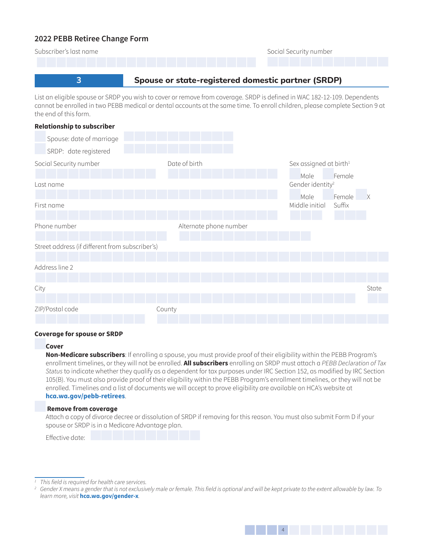| Subscriber's last name                             | Social Security number |  |  |  |  |  |  |
|----------------------------------------------------|------------------------|--|--|--|--|--|--|
|                                                    |                        |  |  |  |  |  |  |
| Spouse or state-registered domestic partner (SRDP) |                        |  |  |  |  |  |  |

List an eligible spouse or SRDP you wish to cover or remove from coverage. SRDP is defined in WAC 182-12-109. Dependents cannot be enrolled in two PEBB medical or dental accounts at the same time. To enroll children, please complete Section 9 at the end of this form.

| <b>Relationship to subscriber</b>               |                        |                                      |             |
|-------------------------------------------------|------------------------|--------------------------------------|-------------|
| Spouse: date of marriage                        |                        |                                      |             |
| SRDP: date registered                           |                        |                                      |             |
| Social Security number                          | Date of birth          | Sex assigned at birth <sup>1</sup>   |             |
| Last name                                       |                        | Male<br>Gender identity <sup>2</sup> | Female      |
| First name                                      |                        | Male<br>Middle initial<br>Suffix     | Female<br>X |
| Phone number                                    | Alternate phone number |                                      |             |
| Street address (if different from subscriber's) |                        |                                      |             |
| Address line 2                                  |                        |                                      |             |
| City                                            |                        |                                      | State       |
| ZIP/Postal code                                 | County                 |                                      |             |

#### **Coverage for spouse or SRDP**

#### **Cover**

**Non-Medicare subscribers**: If enrolling a spouse, you must provide proof of their eligibility within the PEBB Program's enrollment timelines, or they will not be enrolled. **All subscribers** enrolling an SRDP must attach a *PEBB Declaration of Tax Status* to indicate whether they qualify as a dependent for tax purposes under IRC Section 152, as modified by IRC Section 105(B). You must also provide proof of their eligibility within the PEBB Program's enrollment timelines, or they will not be enrolled. Timelines and a list of documents we will accept to prove eligibility are available on [HCA's website at](http://hca.wa.gov/pebb-retirees)  **[hca.wa.gov/pebb-retirees](http://hca.wa.gov/pebb-retirees)**.

#### **Remove from coverage**

Attach a copy of divorce decree or dissolution of SRDP if removing for this reason. You must also submit Form D if your spouse or SRDP is in a Medicare Advantage plan.

*<sup>2</sup> Gender X means a gender that is not exclusively male or female. This field is optional and will be kept private to the extent allowable by law. To learn more, visit* **hca.wa.gov/gender-x***.*



*<sup>1</sup> This field is required for health care services.*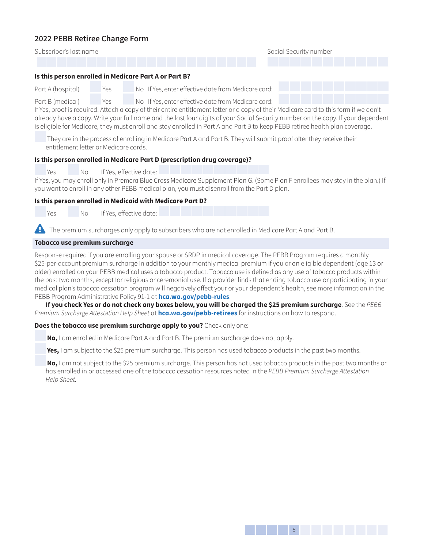Subscriber's last name Social Security number

#### **Is this person enrolled in Medicare Part A or Part B?**

Part A (hospital) Yes No If Yes, enter effective date from Medicare card:

Part B (medical) Yes No If Yes, enter effective date from Medicare card:

If Yes, proof is required. Attach a copy of their entire entitlement letter or a copy of their Medicare card to this form if we don't already have a copy. Write your full name and the last four digits of your Social Security number on the copy. If your dependent is eligible for Medicare, they must enroll and stay enrolled in Part A and Part B to keep PEBB retiree health plan coverage.

 They are in the process of enrolling in Medicare Part A and Part B. They will submit proof after they receive their entitlement letter or Medicare cards.

### **Is this person enrolled in Medicare Part D (prescription drug coverage)?**

Yes No If Yes, effective date:

If Yes, you may enroll only in Premera Blue Cross Medicare Supplement Plan G. (Some Plan F enrollees may stay in the plan.) If you want to enroll in any other PEBB medical plan, you must disenroll from the Part D plan.

### **Is this person enrolled in Medicaid with Medicare Part D?**

Yes No If Yes, effective date:

**Example The premium surcharges only apply to subscribers who are not enrolled in Medicare Part A and Part B.** 

### **Tobacco use premium surcharge**

Response required if you are enrolling your spouse or SRDP in medical coverage. The PEBB Program requires a monthly \$25-per-account premium surcharge in addition to your monthly medical premium if you or an eligible dependent (age 13 or older) enrolled on your PEBB medical uses a tobacco product. Tobacco use is defined as any use of tobacco products within the past two months, except for religious or ceremonial use. If a provider finds that ending tobacco use or participating in your medical plan's tobacco cessation program will negatively affect your or your dependent's health, see more information in the PEBB Program Administrative Policy 91-1 at **[hca.wa.gov/pebb-rules](http://hca.wa.gov/pebb-rules)**.

**If you check Yes or do not check any boxes below, you will be charged the \$25 premium surcharge**. See the *PEBB Premium Surcharge Attestation Help Sheet* at **[hca.wa.gov/pebb-retirees](http://hca.wa.gov/pebb-retirees)** for instructions on how to respond.

### **Does the tobacco use premium surcharge apply to you?** Check only one:

**No,** I am enrolled in Medicare Part A and Part B. The premium surcharge does not apply.

**Yes,** I am subject to the \$25 premium surcharge. This person has used tobacco products in the past two months.

**No,** I am not subject to the \$25 premium surcharge. This person has not used tobacco products in the past two months or has enrolled in or accessed one of the tobacco cessation resources noted in the *PEBB Premium Surcharge Attestation Help Sheet.*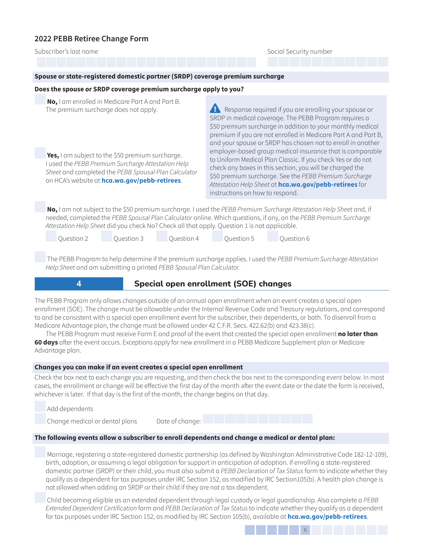Subscriber's last name Social Security number

#### **Spouse or state-registered domestic partner (SRDP) coverage premium surcharge**

#### **Does the spouse or SRDP coverage premium surcharge apply to you?**

**No,** I am enrolled in Medicare Part A and Part B. The premium surcharge does not apply.

**Yes,** I am subject to the \$50 premium surcharge. I used the *PEBB Premium Surcharge Attestation Help Sheet* and completed the *PEBB Spousal Plan Calculator*  on HCA's website at **[hca.wa.gov/pebb-retirees](http://hca.wa.gov/pebb-retirees)**.

 $\overline{A}$  Response required if you are enrolling your spouse or SRDP in medical coverage. The PEBB Program requires a \$50 premium surcharge in addition to your monthly medical premium if you are not enrolled in Medicare Part A and Part B, and your spouse or SRDP has chosen not to enroll in another employer-based group medical insurance that is comparable to Uniform Medical Plan Classic. If you check Yes or do not check any boxes in this section, you will be charged the \$50 premium surcharge. See the *PEBB Premium Surcharge Attestation Help Sheet* at **[hca.wa.gov/pebb-retirees](http://hca.wa.gov/pebb-retirees)** for instructions on how to respond.

**No,** I am not subject to the \$50 premium surcharge. I used the *PEBB Premium Surcharge Attestation Help Sheet* and, if needed, completed the *PEBB Spousal Plan Calculator* online. Which questions, if any, on the *PEBB Premium Surcharge Attestation Help Sheet* did you check No? Check all that apply. Question 1 is not applicable.

Question 2 Question 3 Question 4 Question 5 Question 6

 The PEBB Program to help determine if the premium surcharge applies. I used the *PEBB Premium Surcharge Attestation Help Sheet* and am submitting a printed *PEBB Spousal Plan Calculator*.



# **4 1** Special open enrollment (SOE) changes

The PEBB Program only allows changes outside of an annual open enrollment when an event creates a special open enrollment (SOE). The change must be allowable under the Internal Revenue Code and Treasury regulations, and correspond to and be consistent with a special open enrollment event for the subscriber, their dependents, or both. To disenroll from a Medicare Advantage plan, the change must be allowed under 42 C.F.R. Secs. 422.62(b) and 423.38(c).

The PEBB Program must receive Form E and proof of the event that created the special open enrollment **no later than 60 days** after the event occurs. Exceptions apply for new enrollment in a PEBB Medicare Supplement plan or Medicare Advantage plan.

#### **Changes you can make if an event creates a special open enrollment**

Check the box next to each change you are requesting, and then check the box next to the corresponding event below. In most cases, the enrollment or change will be effective the first day of the month after the event date or the date the form is received, whichever is later. If that day is the first of the month, the change begins on that day.

Add dependents

Change medical or dental plans Date of change:

#### **The following events allow a subscriber to enroll dependents and change a medical or dental plan:**

 Marriage, registering a state-registered domestic partnership (as defined by Washington Administrative Code 182-12-109), birth, adoption, or assuming a legal obligation for support in anticipation of adoption. If enrolling a state-registered domestic partner (SRDP) or their child, you must also submit a *PEBB Declaration of Tax Status* form to indicate whether they qualify as a dependent for tax purposes under IRC Section 152, as modified by IRC Section105(b). A health plan change is not allowed when adding an SRDP or their child if they are not a tax dependent.

 Child becoming eligible as an extended dependent through legal custody or legal guardianship. Also complete a *PEBB Extended Dependent Certification* form and *PEBB Declaration of Tax Status* to indicate whether they qualify as a dependent for tax purposes under IRC Section 152, as modified by IRC Section 105(b), available at **[hca.wa.gov/pebb-retirees](http://hca.wa.gov/pebb-retirees)**.

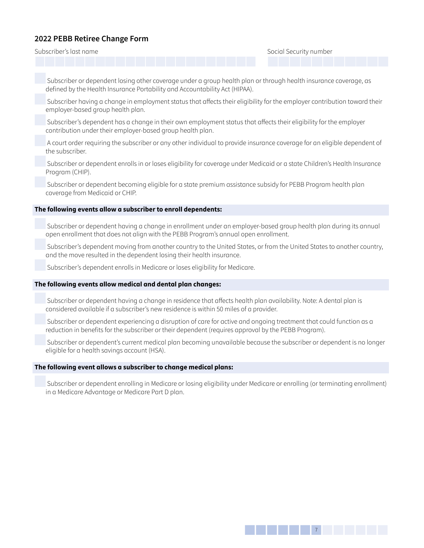Subscriber's last name Social Security number

 Subscriber or dependent losing other coverage under a group health plan or through health insurance coverage, as defined by the Health Insurance Portability and Accountability Act (HIPAA).

 Subscriber having a change in employment status that affects their eligibility for the employer contribution toward their employer-based group health plan.

 Subscriber's dependent has a change in their own employment status that affects their eligibility for the employer contribution under their employer-based group health plan.

 A court order requiring the subscriber or any other individual to provide insurance coverage for an eligible dependent of the subscriber.

 Subscriber or dependent enrolls in or loses eligibility for coverage under Medicaid or a state Children's Health Insurance Program (CHIP).

 Subscriber or dependent becoming eligible for a state premium assistance subsidy for PEBB Program health plan coverage from Medicaid or CHIP.

### **The following events allow a subscriber to enroll dependents:**

 Subscriber or dependent having a change in enrollment under an employer-based group health plan during its annual open enrollment that does not align with the PEBB Program's annual open enrollment.

 Subscriber's dependent moving from another country to the United States, or from the United States to another country, and the move resulted in the dependent losing their health insurance.

Subscriber's dependent enrolls in Medicare or loses eligibility for Medicare.

#### **The following events allow medical and dental plan changes:**

 Subscriber or dependent having a change in residence that affects health plan availability. Note: A dental plan is considered available if a subscriber's new residence is within 50 miles of a provider.

 Subscriber or dependent experiencing a disruption of care for active and ongoing treatment that could function as a reduction in benefits for the subscriber or their dependent (requires approval by the PEBB Program).

 Subscriber or dependent's current medical plan becoming unavailable because the subscriber or dependent is no longer eligible for a health savings account (HSA).

#### **The following event allows a subscriber to change medical plans:**

 Subscriber or dependent enrolling in Medicare or losing eligibility under Medicare or enrolling (or terminating enrollment) in a Medicare Advantage or Medicare Part D plan.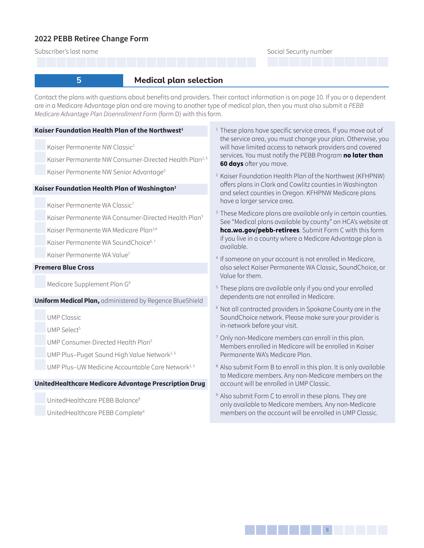Subscriber's last name Social Security number

# **5 Medical plan selection**

Contact the plans with questions about benefits and providers. Their contact information is on page 10. If you or a dependent are in a Medicare Advantage plan and are moving to another type of medical plan, then you must also submit a *PEBB Medicare Advantage Plan Disenrollment Form* (form D) with this form.

### **Kaiser Foundation Health Plan of the Northwest<sup>1</sup>**

Kaiser Permanente NW Classic<sup>2</sup>

Kaiser Permanente NW Consumer-Directed Health Plan<sup>2,5</sup>

Kaiser Permanente NW Senior Advantage<sup>3</sup>

### **Kaiser Foundation Health Plan of Washington<sup>1</sup>**

Kaiser Permanente WA Classic<sup>7</sup>

Kaiser Permanente WA Consumer-Directed Health Plan<sup>5</sup>

Kaiser Permanente WA Medicare Plan3,4

Kaiser Permanente WA SoundChoice<sup>6, 7</sup>

Kaiser Permanente WA Value<sup>7</sup>

### **Premera Blue Cross**

Medicare Supplement Plan G8

### **Uniform Medical Plan,** administered by Regence BlueShield

UMP Classic

UMP Select<sup>5</sup>

UMP Consumer-Directed Health Plan<sup>5</sup>

UMP Plus-Puget Sound High Value Network<sup>1,5</sup>

UMP Plus–UW Medicine Accountable Care Network<sup>1,5</sup>

### **UnitedHealthcare Medicare Advantage Prescription Drug**

UnitedHealthcare PEBB Balance9

UnitedHealthcare PEBB Complete9

- <sup>1</sup> These plans have specific service areas. If you move out of the service area, you must change your plan. Otherwise, you will have limited access to network providers and covered services. You must notify the PEBB Program **no later than 60 days** after you move.
- <sup>2</sup> Kaiser Foundation Health Plan of the Northwest (KFHPNW) offers plans in Clark and Cowlitz counties in Washington and select counties in Oregon. KFHPNW Medicare plans have a larger service area.
- <sup>3</sup> These Medicare plans are available only in certain counties. See "Medical plans available by county" on HCA's website at **hca.wa.gov/pebb-retirees**. Submit Form C with this form if you live in a county where a Medicare Advantage plan is available.
- 4 If someone on your account is not enrolled in Medicare, also select Kaiser Permanente WA Classic, SoundChoice, or Value for them.
- 5 These plans are available only if you and your enrolled dependents are not enrolled in Medicare.
- <sup>6</sup> Not all contracted providers in Spokane County are in the SoundChoice network. Please make sure your provider is in-network before your visit.
- <sup>7</sup> Only non-Medicare members can enroll in this plan. Members enrolled in Medicare will be enrolled in Kaiser Permanente WA's Medicare Plan.
- <sup>8</sup> Also submit Form B to enroll in this plan. It is only available to Medicare members. Any non-Medicare members on the account will be enrolled in UMP Classic.
- 9 Also submit Form C to enroll in these plans. They are only available to Medicare members. Any non-Medicare members on the account will be enrolled in UMP Classic.

138888888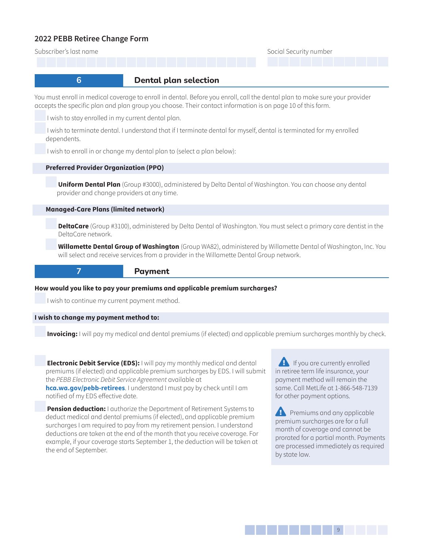Subscriber's last name Social Security number Social Security number

# **6** *Dental plan selection*

You must enroll in medical coverage to enroll in dental. Before you enroll, call the dental plan to make sure your provider accepts the specific plan and plan group you choose. Their contact information is on page 10 of this form.

I wish to stay enrolled in my current dental plan.

 I wish to terminate dental. I understand that if I terminate dental for myself, dental is terminated for my enrolled dependents.

I wish to enroll in or change my dental plan to (select a plan below):

#### **Preferred Provider Organization (PPO)**

**Uniform Dental Plan** (Group #3000), administered by Delta Dental of Washington. You can choose any dental provider and change providers at any time.

#### **Managed-Care Plans (limited network)**

**DeltaCare** (Group #3100), administered by Delta Dental of Washington. You must select a primary care dentist in the DeltaCare network.

**Willamette Dental Group of Washington** (Group WA82), administered by Willamette Dental of Washington, Inc. You will select and receive services from a provider in the Willamette Dental Group network.

## **7** *Payment*

#### **How would you like to pay your premiums and applicable premium surcharges?**

I wish to continue my current payment method.

#### **I wish to change my payment method to:**

**Invoicing:** I will pay my medical and dental premiums (if elected) and applicable premium surcharges monthly by check.

**Electronic Debit Service (EDS):** I will pay my monthly medical and dental premiums (if elected) and applicable premium surcharges by EDS. I will submit the *PEBB Electronic Debit Service Agreement* available at **[hca.wa.gov/pebb-retirees](http://hca.wa.gov/pebb-retirees)**. I understand I must pay by check until I am notified of my EDS effective date.

**Pension deduction:** I authorize the Department of Retirement Systems to deduct medical and dental premiums (if elected), and applicable premium surcharges I am required to pay from my retirement pension. I understand deductions are taken at the end of the month that you receive coverage. For example, if your coverage starts September 1, the deduction will be taken at the end of September.

**Ex** If you are currently enrolled in retiree term life insurance, your payment method will remain the same. Call MetLife at 1-866-548-7139 for other payment options.

 $\mathbf{F}$  Premiums and any applicable premium surcharges are for a full month of coverage and cannot be prorated for a partial month. Payments are processed immediately as required by state law.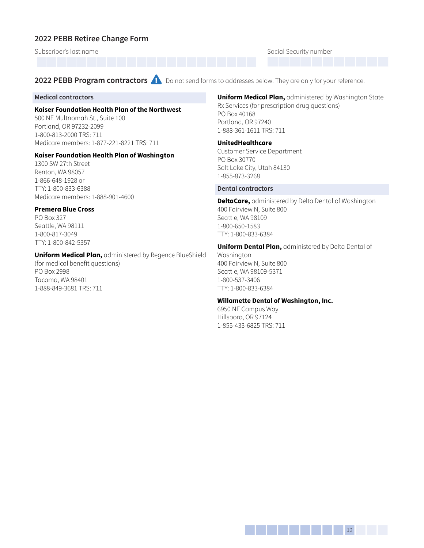Subscriber's last name Social Security number

**2022 PEBB Program contractors A** Do not send forms to addresses below. They are only for your reference.

#### **Medical contractors**

#### **Kaiser Foundation Health Plan of the Northwest**

500 NE Multnomah St., Suite 100 Portland, OR 97232-2099 1-800-813-2000 TRS: 711 Medicare members: 1-877-221-8221 TRS: 711

#### **Kaiser Foundation Health Plan of Washington**

1300 SW 27th Street Renton, WA 98057 1-866-648-1928 or TTY: 1-800-833-6388 Medicare members: 1-888-901-4600

### **Premera Blue Cross**

PO Box 327 Seattle, WA 98111 1-800-817-3049 TTY: 1-800-842-5357

### **Uniform Medical Plan,** administered by Regence BlueShield

(for medical benefit questions) PO Box 2998 Tacoma, WA 98401 1-888-849-3681 TRS: 711

### **Uniform Medical Plan,** administered by Washington State Rx Services (for prescription drug questions)

PO Box 40168 Portland, OR 97240 1-888-361-1611 TRS: 711

#### **UnitedHealthcare**

Customer Service Department PO Box 30770 Salt Lake City, Utah 84130 1-855-873-3268

#### **Dental contractors**

**DeltaCare,** administered by Delta Dental of Washington 400 Fairview N, Suite 800 Seattle, WA 98109 1-800-650-1583 TTY: 1-800-833-6384

#### **Uniform Dental Plan,** administered by Delta Dental of

Washington 400 Fairview N, Suite 800 Seattle, WA 98109-5371 1-800-537-3406 TTY: 1-800-833-6384

### **Willamette Dental of Washington, Inc.**

6950 NE Campus Way Hillsboro, OR 97124 1-855-433-6825 TRS: 711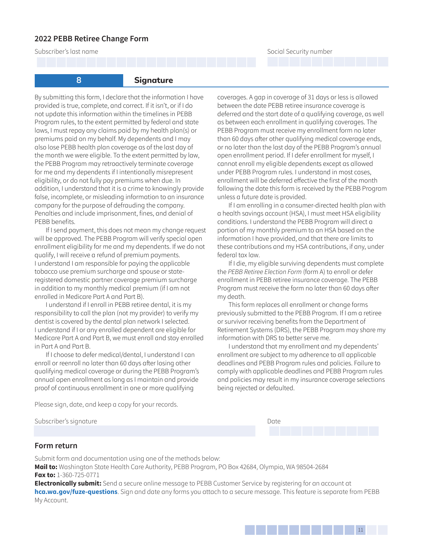Subscriber's last name Social Security number



**8 Signature** 

By submitting this form, I declare that the information I have provided is true, complete, and correct. If it isn't, or if I do not update this information within the timelines in PEBB Program rules, to the extent permitted by federal and state laws, I must repay any claims paid by my health plan(s) or premiums paid on my behalf. My dependents and I may also lose PEBB health plan coverage as of the last day of the month we were eligible. To the extent permitted by law, the PEBB Program may retroactively terminate coverage for me and my dependents if I intentionally misrepresent eligibility, or do not fully pay premiums when due. In addition, I understand that it is a crime to knowingly provide false, incomplete, or misleading information to an insurance company for the purpose of defrauding the company. Penalties and include imprisonment, fines, and denial of PEBB benefits.

If I send payment, this does not mean my change request will be approved. The PEBB Program will verify special open enrollment eligibility for me and my dependents. If we do not qualify, I will receive a refund of premium payments. I understand I am responsible for paying the applicable tobacco use premium surcharge and spouse or stateregistered domestic partner coverage premium surcharge in addition to my monthly medical premium (if I am not enrolled in Medicare Part A and Part B).

I understand if I enroll in PEBB retiree dental, it is my responsibility to call the plan (not my provider) to verify my dentist is covered by the dental plan network I selected. I understand if I or any enrolled dependent are eligible for Medicare Part A and Part B, we must enroll and stay enrolled in Part A and Part B.

If I choose to defer medical/dental, I understand I can enroll or reenroll no later than 60 days after losing other qualifying medical coverage or during the PEBB Program's annual open enrollment as long as I maintain and provide proof of continuous enrollment in one or more qualifying

coverages. A gap in coverage of 31 days or less is allowed between the date PEBB retiree insurance coverage is deferred and the start date of a qualifying coverage, as well as between each enrollment in qualifying coverages. The PEBB Program must receive my enrollment form no later than 60 days after other qualifying medical coverage ends, or no later than the last day of the PEBB Program's annual open enrollment period. If I defer enrollment for myself, I cannot enroll my eligible dependents except as allowed under PEBB Program rules. I understand in most cases, enrollment will be deferred effective the first of the month following the date this form is received by the PEBB Program unless a future date is provided.

If I am enrolling in a consumer-directed health plan with a health savings account (HSA), I must meet HSA eligibility conditions. I understand the PEBB Program will direct a portion of my monthly premium to an HSA based on the information I have provided, and that there are limits to these contributions and my HSA contributions, if any, under federal tax law.

If I die, my eligible surviving dependents must complete the *PEBB Retiree Election Form* (form A) to enroll or defer enrollment in PEBB retiree insurance coverage. The PEBB Program must receive the form no later than 60 days after my death.

This form replaces all enrollment or change forms previously submitted to the PEBB Program. If I am a retiree or survivor receiving benefits from the Department of Retirement Systems (DRS), the PEBB Program may share my information with DRS to better serve me.

I understand that my enrollment and my dependents' enrollment are subject to my adherence to all applicable deadlines and PEBB Program rules and policies. Failure to comply with applicable deadlines and PEBB Program rules and policies may result in my insurance coverage selections being rejected or defaulted.

Please sign, date, and keep a copy for your records.

Subscriber's signature Date of the Date of the Date of the Date of the Date of the Date of the Date of the Date of the Date of the Date of the Date of the Date of the Date of the Date of the Date of the Date of the Date of

### **Form return**

Submit form and documentation using one of the methods below: **Mail to:** Washington State Health Care Authority, PEBB Program, PO Box 42684, Olympia, WA 98504-2684 **Fax to:** 1-360-725-0771

**Electronically submit:** Send a secure online message to PEBB Customer Service by registering for an account at **[hca.wa.gov/fuze-questions](http://hca.wa.gov/fuze-questions)**. Sign and date any forms you attach to a secure message. This feature is separate from PEBB My Account.



1311<sup>11</sup>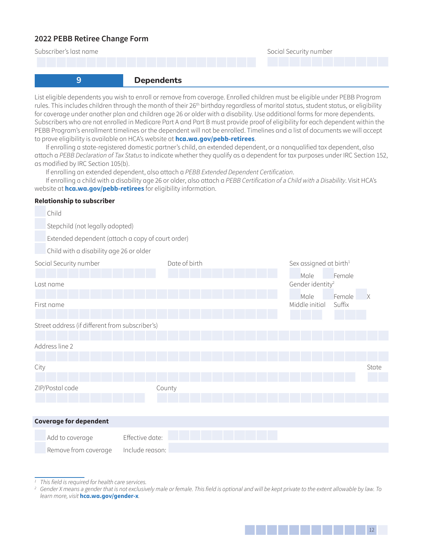

rules. This includes children through the month of their 26<sup>th</sup> birthday regardless of marital status, student status, or eligibility for coverage under another plan and children age 26 or older with a disability. Use additional forms for more dependents. Subscribers who are not enrolled in Medicare Part A and Part B must provide proof of eligibility for each dependent within the PEBB Program's enrollment timelines or the dependent will not be enrolled. Timelines and a list of documents we will accept to prove eligibility is available on HCA's website at **[hca.wa.gov/pebb-retirees](http://hca.wa.gov/pebb-retirees)**.

If enrolling a state-registered domestic partner's child, an extended dependent, or a nonqualified tax dependent, also attach a *PEBB Declaration of Tax Status* to indicate whether they qualify as a dependent for tax purposes under IRC Section 152, as modified by IRC Section 105(b).

If enrolling an extended dependent, also attach a *PEBB Extended Dependent Certification*.

If enrolling a child with a disability age 26 or older, also attach a *PEBB Certification of a Child with a Disability*. Visit HCA's website at **[hca.wa.gov/pebb-retirees](http://hca.wa.gov/pebb-retirees)** for eligibility information.

### **Relationship to subscriber**

|                        | Child                                           |                                                   |               |  |  |                                                |                |        |          |  |
|------------------------|-------------------------------------------------|---------------------------------------------------|---------------|--|--|------------------------------------------------|----------------|--------|----------|--|
|                        | Stepchild (not legally adopted)                 |                                                   |               |  |  |                                                |                |        |          |  |
|                        |                                                 | Extended dependent (attach a copy of court order) |               |  |  |                                                |                |        |          |  |
|                        | Child with a disability age 26 or older         |                                                   |               |  |  |                                                |                |        |          |  |
| Social Security number |                                                 |                                                   | Date of birth |  |  | Sex assigned at birth <sup>1</sup>             |                |        |          |  |
| Last name              |                                                 |                                                   |               |  |  | Male<br>Female<br>Gender identity <sup>2</sup> |                |        |          |  |
|                        |                                                 |                                                   |               |  |  |                                                | Male           | Female | $\times$ |  |
|                        | First name                                      |                                                   |               |  |  |                                                | Middle initial | Suffix |          |  |
|                        | Street address (if different from subscriber's) |                                                   |               |  |  |                                                |                |        |          |  |
|                        | Address line 2                                  |                                                   |               |  |  |                                                |                |        |          |  |
|                        |                                                 |                                                   |               |  |  |                                                |                |        |          |  |
| City                   |                                                 |                                                   |               |  |  |                                                |                |        | State    |  |
|                        | ZIP/Postal code                                 |                                                   | County        |  |  |                                                |                |        |          |  |
|                        |                                                 |                                                   |               |  |  |                                                |                |        |          |  |
|                        |                                                 |                                                   |               |  |  |                                                |                |        |          |  |
|                        | <b>Coverage for dependent</b>                   |                                                   |               |  |  |                                                |                |        |          |  |
|                        | Add to coverage                                 | Effective date:                                   |               |  |  |                                                |                |        |          |  |
|                        | Remove from coverage                            | Include reason:                                   |               |  |  |                                                |                |        |          |  |

*<sup>1</sup> This field is required for health care services.*

*<sup>2</sup> Gender X means a gender that is not exclusively male or female. This field is optional and will be kept private to the extent allowable by law. To learn more, visit* **hca.wa.gov/gender-x***.*